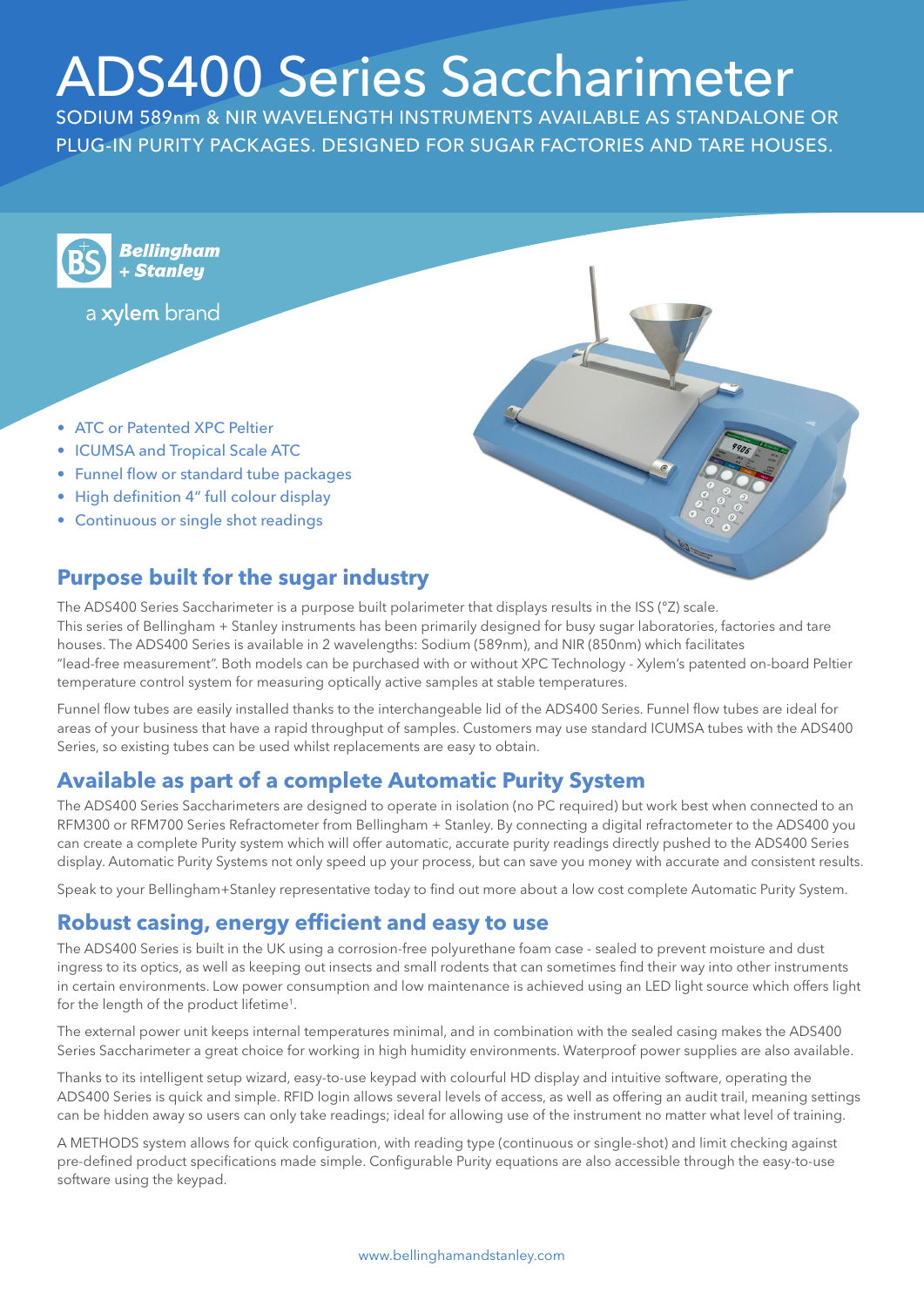# ADS400 Series Saccharimeter

SODIUM 589nm & NIR WAVELENGTH INSTRUMENTS AVAILABLE AS STANDALONE OR PLUG-IN PURITY PACKAGES. DESIGNED FOR SUGAR FACTORIES AND TARE HOUSES.



**Bellingham** + Stanleu

a xylem brand

- ATC or Patented XPC Peltier
- ICUMSA and Tropical Scale ATC
- Funnel flow or standard tube packages
- High definition 4" full colour display
- Continuous or single shot readings

# **Purpose built for the sugar industry**

The ADS400 Series Saccharimeter is a purpose built polarimeter that displays results in the ISS (°Z) scale. This series of Bellingham + Stanley instruments has been primarily designed for busy sugar laboratories, factories and tare houses. The ADS400 Series is available in 2 wavelengths: Sodium (589nm), and NIR (850nm) which facilitates "lead-free measurement". Both models can be purchased with or without XPC Technology - Xylem's patented on-board Peltier temperature control system for measuring optically active samples at stable temperatures.

Funnel flow tubes are easily installed thanks to the interchangeable lid of the ADS400 Series. Funnel flow tubes are ideal for areas of your business that have a rapid throughput of samples. Customers may use standard ICUMSA tubes with the ADS400 Series, so existing tubes can be used whilst replacements are easy to obtain.

## **Available as part of a complete Automatic Purity System**

The ADS400 Series Saccharimeters are designed to operate in isolation (no PC required) but work best when connected to an RFM300 or RFM700 Series Refractometer from Bellingham + Stanley. By connecting a digital refractometer to the ADS400 you can create a complete Purity system which will offer automatic, accurate purity readings directly pushed to the ADS400 Series display. Automatic Purity Systems not only speed up your process, but can save you money with accurate and consistent results.

Speak to your Bellingham+Stanley representative today to find out more about a low cost complete Automatic Purity System.

#### **Robust casing, energy efficient and easy to use**

The ADS400 Series is built in the UK using a corrosion-free polyurethane foam case - sealed to prevent moisture and dust ingress to its optics, as well as keeping out insects and small rodents that can sometimes find their way into other instruments in certain environments. Low power consumption and low maintenance is achieved using an LED light source which offers light for the length of the product lifetime1.

The external power unit keeps internal temperatures minimal, and in combination with the sealed casing makes the ADS400 Series Saccharimeter a great choice for working in high humidity environments. Waterproof power supplies are also available.

Thanks to its intelligent setup wizard, easy-to-use keypad with colourful HD display and intuitive software, operating the ADS400 Series is quick and simple. RFID login allows several levels of access, as well as offering an audit trail, meaning settings can be hidden away so users can only take readings; ideal for allowing use of the instrument no matter what level of training.

A METHODS system allows for quick configuration, with reading type (continuous or single-shot) and limit checking against pre-defined product specifications made simple. Configurable Purity equations are also accessible through the easy-to-use software using the keypad.